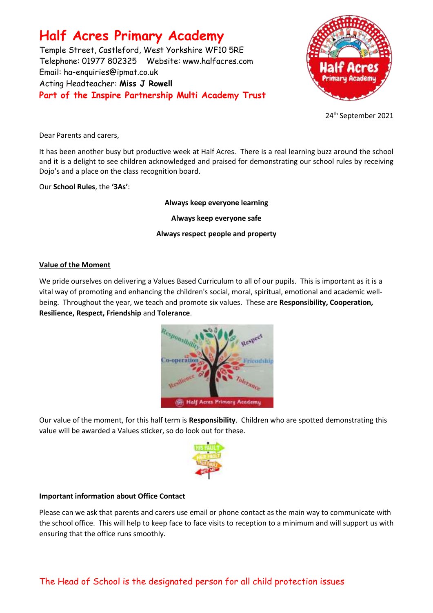# **Half Acres Primary Academy**

Temple Street, Castleford, West Yorkshire WF10 5RE Telephone: 01977 802325 Website: [www.halfacres.com](http://www.halfacres.com/) Email: ha-enquiries@ipmat.co.uk Acting Headteacher: **Miss J Rowell Part of the Inspire Partnership Multi Academy Trust**



24th September 2021

Dear Parents and carers,

It has been another busy but productive week at Half Acres. There is a real learning buzz around the school and it is a delight to see children acknowledged and praised for demonstrating our school rules by receiving Dojo's and a place on the class recognition board.

Our **School Rules**, the **'3As'**:

# **Always keep everyone learning**

**Always keep everyone safe**

# **Always respect people and property**

### **Value of the Moment**

We pride ourselves on delivering a Values Based Curriculum to all of our pupils. This is important as it is a vital way of promoting and enhancing the children's social, moral, spiritual, emotional and academic wellbeing. Throughout the year, we teach and promote six values. These are **Responsibility, Cooperation, Resilience, Respect, Friendship** and **Tolerance**.



Our value of the moment, for this half term is **Responsibility**. Children who are spotted demonstrating this value will be awarded a Values sticker, so do look out for these.



# **Important information about Office Contact**

Please can we ask that parents and carers use email or phone contact as the main way to communicate with the school office. This will help to keep face to face visits to reception to a minimum and will support us with ensuring that the office runs smoothly.